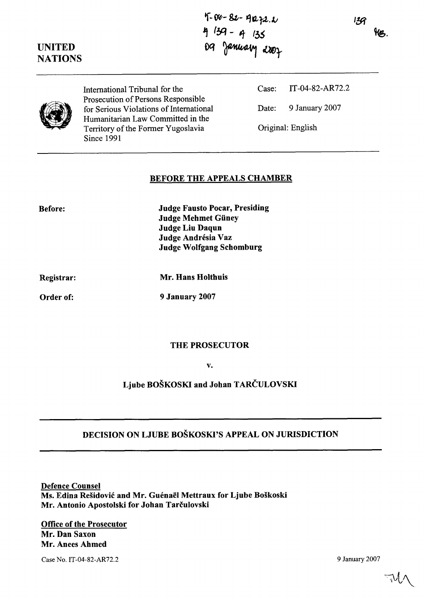$136$ HB.

# UNITED **NATIONS**

 $4 - 82 - 4072.1$ <br>4  $139 - 4135$ <br>09 January 2007

Prosecution of Persons Responsible for Serious Violations of International Date: 9 January 2007 Humanitarian Law Committed in the Territory of the Former Yugoslavia Original: English Since 1991

International Tribunal for the Case: IT-04-82-AR72.2

### BEFORE THE APPEALS CHAMBER

| Before: | <b>Judge Fausto Pocar, Presiding</b> |
|---------|--------------------------------------|
|         | <b>Judge Mehmet Güney</b>            |
|         | Judge Liu Daqun                      |
|         | Judge Andrésia Vaz                   |
|         | <b>Judge Wolfgang Schomburg</b>      |
|         |                                      |

Registrar:

Mr. Hans Holthuis

Order of:

9 January 2007

#### THE PROSECUTOR

v.

Ljube BOŠKOSKI and Johan TARČULOVSKI

## DECISION ON LJUBE BOŠKOSKI'S APPEAL ON JURISDICTION

Defence Counsel Ms. Edina Rešidović and Mr. Guénaël Mettraux for Ljube Boškoski Mr. Antonio Apostolski for Johan Tarčulovski

--

Office of the Prosecutor Mr. Dan Saxon Mr. Anees Ahmed

Case No. IT-04-82-AR72.2 9 January 2007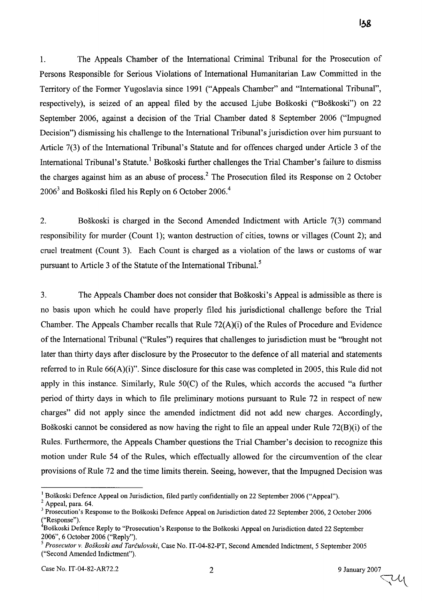1. The Appeals Chamber of the International Criminal Tribunal for the Prosecution of Persons Responsible for Serious Violations of International Humanitarian Law Committed in the Territory of the Former Yugoslavia since 1991 ("Appeals Chamber" and "International Tribunal", respectively), is seized of an appeal filed by the accused Ljube Boškoski ("Boškoski") on 22 September 2006, against a decision of the Trial Chamber dated 8 September 2006 ("Impugned Decision") dismissing his challenge to the International Tribunal's jurisdiction over him pursuant to Article 7(3) of the International Tribunal's Statute and for offences charged under Article 3 of the International Tribunal's Statute.<sup>1</sup> Boškoski further challenges the Trial Chamber's failure to dismiss

2. Boškoski is charged in the Second Amended Indictment with Article 7(3) command responsibility for murder (Count 1); wanton destruction of cities, towns or villages (Count 2); and cruel treatment (Count 3). Each Count is charged as a violation of the laws or customs of war pursuant to Article 3 of the Statute of the International Tribunal.<sup>5</sup>

the charges against him as an abuse of process.<sup>2</sup> The Prosecution filed its Response on 2 October

 $2006<sup>3</sup>$  and Boškoski filed his Reply on 6 October 2006.<sup>4</sup>

3. The Appeals Chamber does not consider that BoSkoski's Appeal is admissible as there is no basis upon which he could have properly filed his jurisdictional challenge before the Trial Chamber. The Appeals Chamber recalls that Rule 72(A)(i) of the Rules of Procedure and Evidence of the International Tribunal ("Rules") requires that challenges to jurisdiction must be "brought not later than thirty days afier disclosure by the Prosecutor to the defence of al1 material and statements referred to in Rule 66(A)(i)". Since disclosure for this case was completed in 2005, this Rule did not apply in this instance. Similarly, Rule 50(C) of the Rules, which accords the accused "a further period of thirty days in which to file preliminary motions pursuant to Rule 72 in respect of new charges" did not apply since the amended indictment did not add new charges. Accordingly, Boškoski cannot be considered as now having the right to file an appeal under Rule 72(B)(i) of the Rules. Furtherrnore, the Appeals Chamber questions the Trial Chamber's decision to recognize this motion under Rule 54 of the Rules, which effectually allowed for the circumvention of the clear provisions of Rule 72 and the time limits therein. Seeing, however, that the Impugned Decision was

138

<sup>&</sup>lt;sup>1</sup> Boškoski Defence Appeal on Jurisdiction, filed partly confidentially on 22 September 2006 ("Appeal").

Appeal, para. 64.

<sup>&</sup>lt;sup>3</sup> Prosecution's Response to the Boškoski Defence Appeal on Jurisdiction dated 22 September 2006, 2 October 2006 ("Response").

<sup>&</sup>lt;sup>4</sup>Boškoski Defence Reply to "Prosecution's Response to the Boškoski Appeal on Jurisdiction dated 22 September 2006", 6 October 2006 ("Reply").<br><sup>5</sup> Prosecutor v. Boškoski and Tarčulovski, Case No. IT-04-82-PT, Second Amended Indictment, 5 September 2005

<sup>(&</sup>quot;Second Amended Indictment").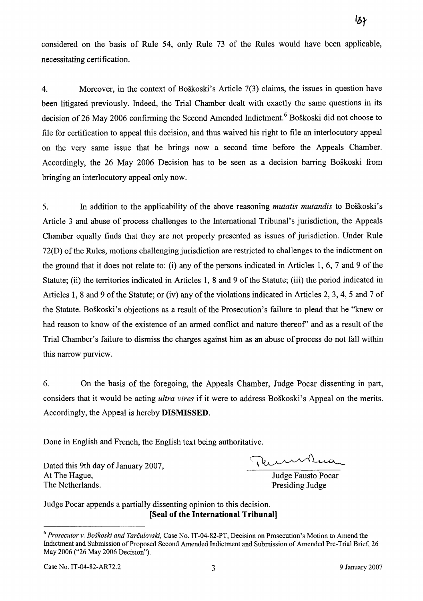considered on the basis of Rule 54, only Rule 73 of the Rules would have been applicable, necessitating certification.

4. Moreover, in the context of BoSkoski's Article 7(3) claims, the issues in question have been litigated previously. Indeed, the Trial Chamber dealt with exactly the same questions in its decision of 26 May 2006 confirming the Second Amended Indictment.<sup>6</sup> Boškoski did not choose to file for certification to appeal this decision, and thus waived his right to file an interlocutory appeal on the very same issue that he brings now a second time before the Appeals Charnber. Accordingly, the 26 May 2006 Decision has to be seen as a decision barring Boškoski from bringing an interlocutory appeal only now.

**5.** In addition to the applicability of the above reasoning *mutatis mutandis* to BoSkoski's Article 3 and abuse of process challenges to the International Tribunal's jurisdiction, the Appeals Chamber equally finds that they are not properly presented as issues of jurisdiction. Under Rule 72(D) of the Rules, motions challenging jurisdiction are restricted to challenges to the indictment on the ground that it does not relate to: (i) any of the persons indicated in Articles 1, 6, 7 and 9 of the Statute; (ii) the territories indicated in Articles 1, 8 and 9 of the Statute; (iii) the period indicated in Articles 1, 8 and 9 of the Statute; or (iv) any of the violations indicated in Articles 2, 3,4, 5 and 7 of the Statute. BoSkoski's objections as a result of the Prosecution's failure to plead that he "knew or had reason to know of the existence of an arrned conflict and nature thereof' and as a result of the Trial Chamber's failure to dismiss the charges against him as an abuse of process do not fa11 within this narrow purview.

6. On the basis of the foregoing, the Appeals Chamber, Judge Pocar dissenting in part, considers that it would be acting *ultra* **vires** if it were to address BoSkoski's Appeal on the merits. Accordingly, the Appeal is hereby **DISMISSED.** 

Done in English and French, the English text being authoritative.

Dated this 9th day of January 2007, At The Hague,<br>
The Netherlands.<br>
The Netherlands.<br>
The Netherlands.<br>
Surface Presiding Judge Pausto Pocar

Presiding Judge

Judge Pocar appends a partially dissenting opinion to this decision. **[Seal of the International Tribunal]** 

<sup>&</sup>lt;sup>6</sup> Prosecutor v. Boškoski and Tarčulovski, Case No. IT-04-82-PT, Decision on Prosecution's Motion to Amend the Indictment and Submission of Proposed Second Amended Indictment and Submission of Amended Pre-Trial Brief, *26*  May *2006 ("26* May *2006* Decision").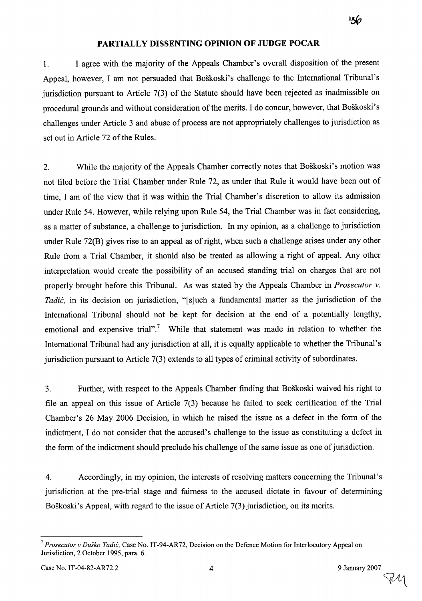#### **PARTIALLY DISSENTING OPINION OF JUDGE POCAR**

1. 1 agree with the majority of the Appeals Chamber's overall disposition of the present Appeal, however, I am not persuaded that Boškoski's challenge to the International Tribunal's jurisdiction pursuant to Article 7(3) of the Statute should have been rejected as inadmissible on procedural grounds and without consideration of the merits. I do concur, however, that Boškoski's challenges under Article 3 and abuse of process are not appropriately challenges to jurisdiction as set out in Article 72 of the Rules.

2. While the majority of the Appeals Chamber correctly notes that Boškoski's motion was not filed before the Trial Chamber under Rule 72, as under that Rule it would have been out of time, 1 am of the view that it was within the Trial Chamber's discretion to allow its admission under Rule 54. However, while relying upon Rule 54, the Trial Chamber was in fact considering, as a matter of substance, a challenge to jurisdiction. In my opinion, as a challenge to jurisdiction under Rule 72(B) gives rise to an appeal as of right, when such a challenge arises under any other Rule from a Trial Chamber, it should also be treated as allowing a right of appeal. Any other interpretation would create the possibility of an accused standing trial on charges that are not properly brought before this Tribunal. As was stated by the Appeals Chamber in *Prosecutor* v. *Tadić*, in its decision on jurisdiction, "[s]uch a fundamental matter as the jurisdiction of the International Tribunal should not be kept for decision at the end of a potentially lengthy, emotional and expensive trial".<sup>7</sup> While that statement was made in relation to whether the International Tribunal had any jurisdiction at all, it is equally applicable to whether the Tribunal's jurisdiction pursuant to Article 7(3) extends to al1 types of criminal activity of subordinates.

3. Further, with respect to the Appeals Chamber finding that BoSkoski waived his right to file an appeal on this issue of Article 7(3) because he failed to seek certification of the Trial Chamber's 26 May 2006 Decision, in which he raised the issue as a defect in the form of the indictment, 1 do not consider that the accused's challenge to the issue as constituting a defect in the form of the indictment should preclude his challenge of the same issue as one of jurisdiction.

4. Accordingly, in my opinion, the interests of resolving matters concerning the Tribunal's jurisdiction at the pre-trial stage and fairness to the accused dictate in favour of determining Boškoski's Appeal, with regard to the issue of Article 7(3) jurisdiction, on its merits.

<sup>&</sup>lt;sup>7</sup> *Prosecutor v Duško Tadić*, Case No. IT-94-AR72, Decision on the Defence Motion for Interlocutory Appeal on Jurisdiction, 2 October 1995, para. 6.